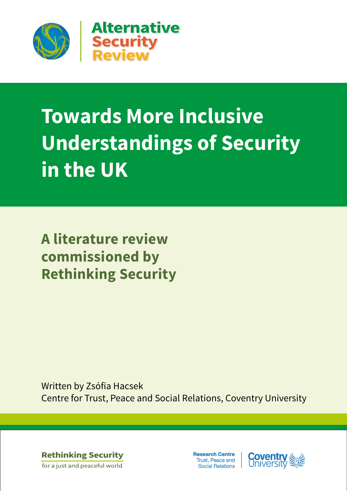

# **Towards More Inclusive Understandings of Security in the UK**

**A literature review commissioned by Rethinking Security**

Written by Zsófia Hacsek Centre for Trust, Peace and Social Relations, Coventry University

**Rethinking Security** for a just and peaceful world

**Research Centre** Trust, Peace and **Social Relations** 

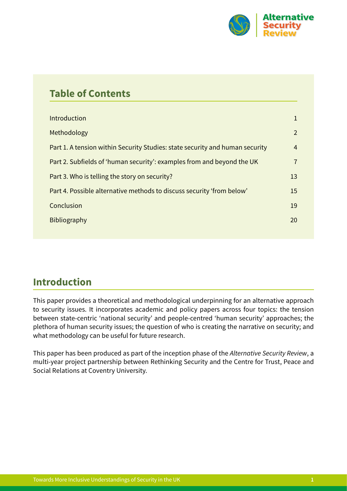

| <b>Table of Contents</b>                                                     |                |
|------------------------------------------------------------------------------|----------------|
| <b>Introduction</b>                                                          | $\mathbf 1$    |
| Methodology                                                                  | 2              |
| Part 1. A tension within Security Studies: state security and human security | $\overline{4}$ |
| Part 2. Subfields of 'human security': examples from and beyond the UK       | $\overline{7}$ |
| Part 3. Who is telling the story on security?                                | 13             |
| Part 4. Possible alternative methods to discuss security 'from below'        | 15             |
| Conclusion                                                                   | 19             |
| <b>Bibliography</b>                                                          | 20             |
|                                                                              |                |

## **Introduction**

This paper provides a theoretical and methodological underpinning for an alternative approach to security issues. It incorporates academic and policy papers across four topics: the tension between state-centric 'national security' and people-centred 'human security' approaches; the plethora of human security issues; the question of who is creating the narrative on security; and what methodology can be useful for future research.

This paper has been produced as part of the inception phase of the *Alternative Security Review*, a multi-year project partnership between Rethinking Security and the Centre for Trust, Peace and Social Relations at Coventry University.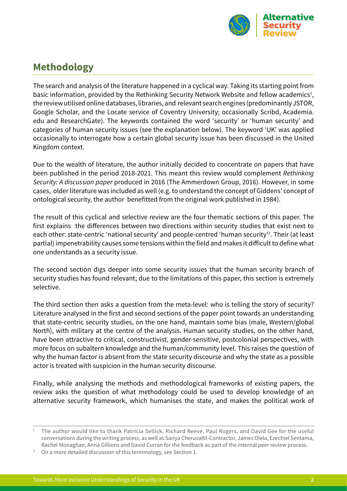

## <span id="page-2-0"></span>**Methodology**

The search and analysis of the literature happened in a cyclical way. Taking its starting point from basic information, provided by the Rethinking Security Network Website and fellow academics $^{\text{1}},$ the review utilised online databases, libraries, and relevant search engines (predominantly JSTOR, Google Scholar, and the Locate service of Coventry University; occasionally Scribd, Academia. edu and ResearchGate). The keywords contained the word 'security' or 'human security' and categories of human security issues (see the explanation below). The keyword 'UK' was applied occasionally to interrogate how a certain global security issue has been discussed in the United Kingdom context.

Due to the wealth of literature, the author initially decided to concentrate on papers that have been published in the period 2018-2021. This meant this review would complement *Rethinking Security: A discussion paper* produced in 2016 (The Ammerdown Group, 2016). However, in some cases, older literature was included as well (e.g. to understand the concept of Giddens' concept of ontological security, the author benefitted from the original work published in 1984).

The result of this cyclical and selective review are the four thematic sections of this paper. The first explains the differences between two directions within security studies that exist next to each other: state-centric 'national security' and people-centred 'human security'<sup>2</sup>. Their (at least partial) impenetrability causes some tensions within the field and makes it difficult to define what one understands as a security issue.

The second section digs deeper into some security issues that the human security branch of security studies has found relevant; due to the limitations of this paper, this section is extremely selective.

The third section then asks a question from the meta-level: who is telling the story of security? Literature analysed in the first and second sections of the paper point towards an understanding that state-centric security studies, on the one hand, maintain some bias (male, Western/global North), with military at the centre of the analysis. Human security studies, on the other hand, have been attractive to critical, constructivist, gender-sensitive, postcolonial perspectives, with more focus on subaltern knowledge and the human/community level. This raises the question of why the human factor is absent from the state security discourse and why the state as a possible actor is treated with suspicion in the human security discourse.

Finally, while analysing the methods and methodological frameworks of existing papers, the review asks the question of what methodology could be used to develop knowledge of an alternative security framework, which humanises the state, and makes the political work of

<sup>1</sup> The author would like to thank Patricia Sellick, Richard Reeve, Paul Rogers, and David Gee for the useful conversations during the writing process, as well as Sariya Cheruvallil-Contractor, James Olela, Ezechiel Sentama, Rachel Monaghan, Anna Gillions and David Curran for the feedback as part of the internal peer review process.

<sup>2</sup> On a more detailed discussion of this terminology, see Section 1.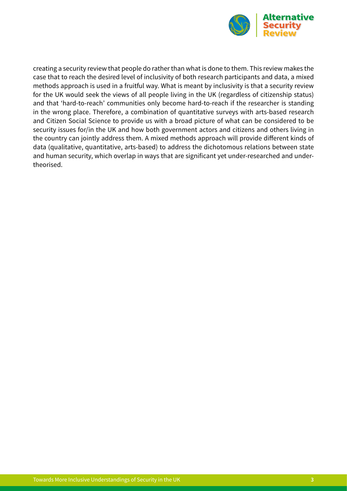

creating a security review that people do rather than what is done to them. This review makes the case that to reach the desired level of inclusivity of both research participants and data, a mixed methods approach is used in a fruitful way. What is meant by inclusivity is that a security review for the UK would seek the views of all people living in the UK (regardless of citizenship status) and that 'hard-to-reach' communities only become hard-to-reach if the researcher is standing in the wrong place. Therefore, a combination of quantitative surveys with arts-based research and Citizen Social Science to provide us with a broad picture of what can be considered to be security issues for/in the UK and how both government actors and citizens and others living in the country can jointly address them. A mixed methods approach will provide different kinds of data (qualitative, quantitative, arts-based) to address the dichotomous relations between state and human security, which overlap in ways that are significant yet under-researched and undertheorised.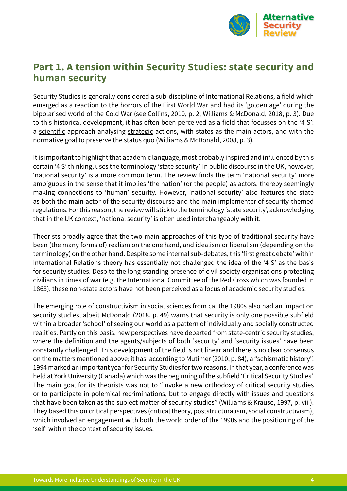

#### <span id="page-4-0"></span>**Part 1. A tension within Security Studies: state security and human security**

Security Studies is generally considered a sub-discipline of International Relations, a field which emerged as a reaction to the horrors of the First World War and had its 'golden age' during the bipolarised world of the Cold War (see Collins, 2010, p. 2; Williams & McDonald, 2018, p. 3). Due to this historical development, it has often been perceived as a field that focusses on the '4 S': a scientific approach analysing strategic actions, with states as the main actors, and with the normative goal to preserve the status quo (Williams & McDonald, 2008, p. 3).

It is important to highlight that academic language, most probably inspired and influenced by this certain '4 S' thinking, uses the terminology 'state security'. In public discourse in the UK, however, 'national security' is a more common term. The review finds the term 'national security' more ambiguous in the sense that it implies 'the nation' (or the people) as actors, thereby seemingly making connections to 'human' security. However, 'national security' also features the state as both the main actor of the security discourse and the main implementer of security-themed regulations. For this reason, the review will stick to the terminology 'state security', acknowledging that in the UK context, 'national security' is often used interchangeably with it.

Theorists broadly agree that the two main approaches of this type of traditional security have been (the many forms of) realism on the one hand, and idealism or liberalism (depending on the terminology) on the other hand. Despite some internal sub-debates, this 'first great debate' within International Relations theory has essentially not challenged the idea of the '4 S' as the basis for security studies. Despite the long-standing presence of civil society organisations protecting civilians in times of war (e.g. the International Committee of the Red Cross which was founded in 1863), these non-state actors have not been perceived as a focus of academic security studies.

The emerging role of constructivism in social sciences from ca. the 1980s also had an impact on security studies, albeit McDonald (2018, p. 49) warns that security is only one possible subfield within a broader 'school' of seeing our world as a pattern of individually and socially constructed realities. Partly on this basis, new perspectives have departed from state-centric security studies, where the definition and the agents/subjects of both 'security' and 'security issues' have been constantly challenged. This development of the field is not linear and there is no clear consensus on the matters mentioned above; it has, according to Mutimer (2010, p. 84), a "schismatic history". 1994 marked an important year for Security Studies for two reasons. In that year, a conference was held at York University (Canada) which was the beginning of the subfield 'Critical Security Studies'. The main goal for its theorists was not to "invoke a new orthodoxy of critical security studies or to participate in polemical recriminations, but to engage directly with issues and questions that have been taken as the subject matter of security studies" (Williams & Krause, 1997, p. viii). They based this on critical perspectives (critical theory, poststructuralism, social constructivism), which involved an engagement with both the world order of the 1990s and the positioning of the 'self' within the context of security issues.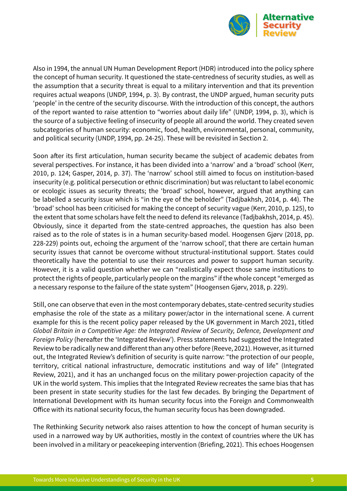

Also in 1994, the annual UN Human Development Report (HDR) introduced into the policy sphere the concept of human security. It questioned the state-centredness of security studies, as well as the assumption that a security threat is equal to a military intervention and that its prevention requires actual weapons (UNDP, 1994, p. 3). By contrast, the UNDP argued, human security puts 'people' in the centre of the security discourse. With the introduction of this concept, the authors of the report wanted to raise attention to "worries about daily life" (UNDP, 1994, p. 3), which is the source of a subjective feeling of insecurity of people all around the world. They created seven subcategories of human security: economic, food, health, environmental, personal, community, and political security (UNDP, 1994, pp. 24-25). These will be revisited in Section 2.

Soon after its first articulation, human security became the subject of academic debates from several perspectives. For instance, it has been divided into a 'narrow' and a 'broad' school (Kerr, 2010, p. 124; Gasper, 2014, p. 37). The 'narrow' school still aimed to focus on institution-based insecurity (e.g. political persecution or ethnic discrimination) but was reluctant to label economic or ecologic issues as security threats; the 'broad' school, however, argued that anything can be labelled a security issue which is "in the eye of the beholder" (Tadjbakhsh, 2014, p. 44). The 'broad' school has been criticised for making the concept of security vague (Kerr, 2010, p. 125), to the extent that some scholars have felt the need to defend its relevance (Tadjbakhsh, 2014, p. 45). Obviously, since it departed from the state-centred approaches, the question has also been raised as to the role of states is in a human security-based model. Hoogensen Gjørv (2018, pp. 228-229) points out, echoing the argument of the 'narrow school', that there are certain human security issues that cannot be overcome without structural-institutional support. States could theoretically have the potential to use their resources and power to support human security. However, it is a valid question whether we can "realistically expect those same institutions to protect the rights of people, particularly people on the margins" if the whole concept "emerged as a necessary response to the failure of the state system" (Hoogensen Gjørv, 2018, p. 229).

Still, one can observe that even in the most contemporary debates, state-centred security studies emphasise the role of the state as a military power/actor in the international scene. A current example for this is the recent policy paper released by the UK government in March 2021, titled *Global Britain in a Competitive Age: the Integrated Review of Security, Defence, Development and Foreign Policy* (hereafter the 'Integrated Review'). Press statements had suggested the Integrated Review to be radically new and different than any other before (Reeve, 2021). However, as it turned out, the Integrated Review's definition of security is quite narrow: "the protection of our people, territory, critical national infrastructure, democratic institutions and way of life" (Integrated Review, 2021), and it has an unchanged focus on the military power-projection capacity of the UK in the world system. This implies that the Integrated Review recreates the same bias that has been present in state security studies for the last few decades. By bringing the Department of International Development with its human security focus into the Foreign and Commonwealth Office with its national security focus, the human security focus has been downgraded.

The Rethinking Security network also raises attention to how the concept of human security is used in a narrowed way by UK authorities, mostly in the context of countries where the UK has been involved in a military or peacekeeping intervention (Briefing, 2021). This echoes Hoogensen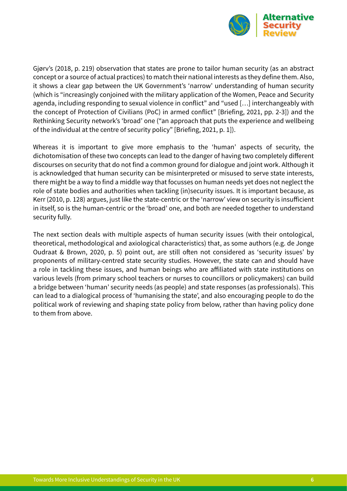

Gjørv's (2018, p. 219) observation that states are prone to tailor human security (as an abstract concept or a source of actual practices) to match their national interests as they define them. Also, it shows a clear gap between the UK Government's 'narrow' understanding of human security (which is "increasingly conjoined with the military application of the Women, Peace and Security agenda, including responding to sexual violence in conflict" and "used [...] interchangeably with the concept of Protection of Civilians (PoC) in armed conflict" [Briefing, 2021, pp. 2-3]) and the Rethinking Security network's 'broad' one ("an approach that puts the experience and wellbeing of the individual at the centre of security policy" [Briefing, 2021, p. 1]).

Whereas it is important to give more emphasis to the 'human' aspects of security, the dichotomisation of these two concepts can lead to the danger of having two completely different discourses on security that do not find a common ground for dialogue and joint work. Although it is acknowledged that human security can be misinterpreted or misused to serve state interests, there might be a way to find a middle way that focusses on human needs yet does not neglect the role of state bodies and authorities when tackling (in)security issues. It is important because, as Kerr (2010, p. 128) argues, just like the state-centric or the 'narrow' view on security is insufficient in itself, so is the human-centric or the 'broad' one, and both are needed together to understand security fully.

The next section deals with multiple aspects of human security issues (with their ontological, theoretical, methodological and axiological characteristics) that, as some authors (e.g. de Jonge Oudraat & Brown, 2020, p. 5) point out, are still often not considered as 'security issues' by proponents of military-centred state security studies. However, the state can and should have a role in tackling these issues, and human beings who are affiliated with state institutions on various levels (from primary school teachers or nurses to councillors or policymakers) can build a bridge between 'human' security needs (as people) and state responses (as professionals). This can lead to a dialogical process of 'humanising the state', and also encouraging people to do the political work of reviewing and shaping state policy from below, rather than having policy done to them from above.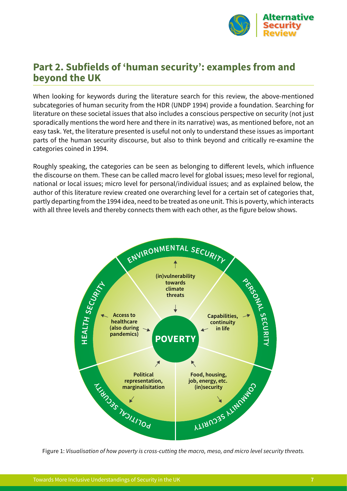

#### <span id="page-7-0"></span>**Part 2. Subfields of 'human security': examples from and beyond the UK**

When looking for keywords during the literature search for this review, the above-mentioned subcategories of human security from the HDR (UNDP 1994) provide a foundation. Searching for literature on these societal issues that also includes a conscious perspective on security (not just sporadically mentions the word here and there in its narrative) was, as mentioned before, not an easy task. Yet, the literature presented is useful not only to understand these issues as important parts of the human security discourse, but also to think beyond and critically re-examine the categories coined in 1994.

Roughly speaking, the categories can be seen as belonging to different levels, which influence the discourse on them. These can be called macro level for global issues; meso level for regional, national or local issues; micro level for personal/individual issues; and as explained below, the author of this literature review created one overarching level for a certain set of categories that, partly departing from the 1994 idea, need to be treated as one unit. This is poverty, which interacts with all three levels and thereby connects them with each other, as the figure below shows.



Figure 1: *Visualisation of how poverty is cross-cutting the macro, meso, and micro level security threats.*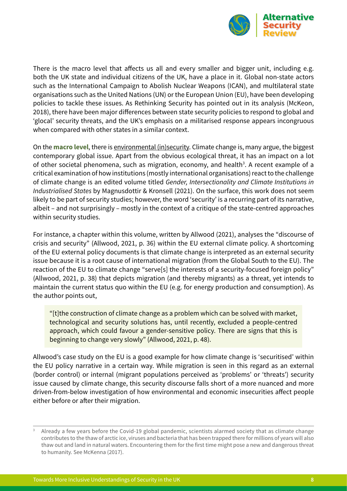

There is the macro level that affects us all and every smaller and bigger unit, including e.g. both the UK state and individual citizens of the UK, have a place in it. Global non-state actors such as the International Campaign to Abolish Nuclear Weapons (ICAN), and multilateral state organisations such as the United Nations (UN) or the European Union (EU), have been developing policies to tackle these issues. As Rethinking Security has pointed out in its analysis (McKeon, 2018), there have been major differences between state security policies to respond to global and 'glocal' security threats, and the UK's emphasis on a militarised response appears incongruous when compared with other states in a similar context.

On the **macro level**, there is environmental (in)security. Climate change is, many argue, the biggest contemporary global issue. Apart from the obvious ecological threat, it has an impact on a lot of other societal phenomena, such as migration, economy, and health<sup>3</sup>. A recent example of a critical examination of how institutions (mostly international organisations) react to the challenge of climate change is an edited volume titled *Gender, Intersectionality and Climate Institutions in Industrialised States* by Magnusdottir & Kronsell (2021). On the surface, this work does not seem likely to be part of security studies; however, the word 'security' is a recurring part of its narrative, albeit – and not surprisingly – mostly in the context of a critique of the state-centred approaches within security studies.

For instance, a chapter within this volume, written by Allwood (2021), analyses the "discourse of crisis and security" (Allwood, 2021, p. 36) within the EU external climate policy. A shortcoming of the EU external policy documents is that climate change is interpreted as an external security issue because it is a root cause of international migration (from the Global South to the EU). The reaction of the EU to climate change "serve[s] the interests of a security-focused foreign policy" (Allwood, 2021, p. 38) that depicts migration (and thereby migrants) as a threat, yet intends to maintain the current status quo within the EU (e.g. for energy production and consumption). As the author points out,

"[t]the construction of climate change as a problem which can be solved with market, technological and security solutions has, until recently, excluded a people-centred approach, which could favour a gender-sensitive policy. There are signs that this is beginning to change very slowly" (Allwood, 2021, p. 48).

Allwood's case study on the EU is a good example for how climate change is 'securitised' within the EU policy narrative in a certain way. While migration is seen in this regard as an external (border control) or internal (migrant populations perceived as 'problems' or 'threats') security issue caused by climate change, this security discourse falls short of a more nuanced and more driven-from-below investigation of how environmental and economic insecurities affect people either before or after their migration.

Already a few years before the Covid-19 global pandemic, scientists alarmed society that as climate change contributes to the thaw of arctic ice, viruses and bacteria that has been trapped there for millions of years will also thaw out and land in natural waters. Encountering them for the first time might pose a new and dangerous threat to humanity. See McKenna (2017).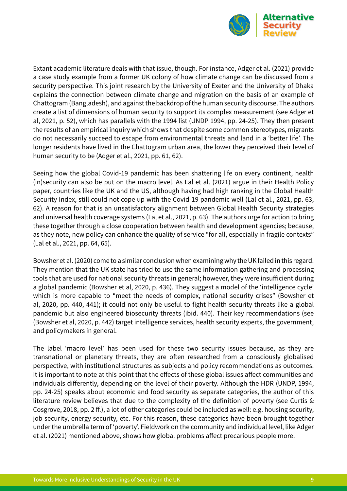

Extant academic literature deals with that issue, though. For instance, Adger et al. (2021) provide a case study example from a former UK colony of how climate change can be discussed from a security perspective. This joint research by the University of Exeter and the University of Dhaka explains the connection between climate change and migration on the basis of an example of Chattogram (Bangladesh), and against the backdrop of the human security discourse. The authors create a list of dimensions of human security to support its complex measurement (see Adger et al, 2021, p. 52), which has parallels with the 1994 list (UNDP 1994, pp. 24-25). They then present the results of an empirical inquiry which shows that despite some common stereotypes, migrants do not necessarily succeed to escape from environmental threats and land in a 'better life'. The longer residents have lived in the Chattogram urban area, the lower they perceived their level of human security to be (Adger et al., 2021, pp. 61, 62).

Seeing how the global Covid-19 pandemic has been shattering life on every continent, health (in)security can also be put on the macro level. As Lal et al. (2021) argue in their Health Policy paper, countries like the UK and the US, although having had high ranking in the Global Health Security Index, still could not cope up with the Covid-19 pandemic well (Lal et al., 2021, pp. 63, 62). A reason for that is an unsatisfactory alignment between Global Health Security strategies and universal health coverage systems (Lal et al., 2021, p. 63). The authors urge for action to bring these together through a close cooperation between health and development agencies; because, as they note, new policy can enhance the quality of service "for all, especially in fragile contexts" (Lal et al., 2021, pp. 64, 65).

Bowsher et al. (2020) come to a similar conclusion when examining why the UK failed in this regard. They mention that the UK state has tried to use the same information gathering and processing tools that are used for national security threats in general; however, they were insufficient during a global pandemic (Bowsher et al, 2020, p. 436). They suggest a model of the 'intelligence cycle' which is more capable to "meet the needs of complex, national security crises" (Bowsher et al, 2020, pp. 440, 441); it could not only be useful to fight health security threats like a global pandemic but also engineered biosecurity threats (ibid. 440). Their key recommendations (see (Bowsher et al, 2020, p. 442) target intelligence services, health security experts, the government, and policymakers in general.

The label 'macro level' has been used for these two security issues because, as they are transnational or planetary threats, they are often researched from a consciously globalised perspective, with institutional structures as subjects and policy recommendations as outcomes. It is important to note at this point that the effects of these global issues affect communities and individuals differently, depending on the level of their poverty. Although the HDR (UNDP, 1994, pp. 24-25) speaks about economic and food security as separate categories, the author of this literature review believes that due to the complexity of the definition of poverty (see Curtis & Cosgrove, 2018, pp. 2 ff.), a lot of other categories could be included as well: e.g. housing security, job security, energy security, etc. For this reason, these categories have been brought together under the umbrella term of 'poverty'. Fieldwork on the community and individual level, like Adger et al. (2021) mentioned above, shows how global problems affect precarious people more.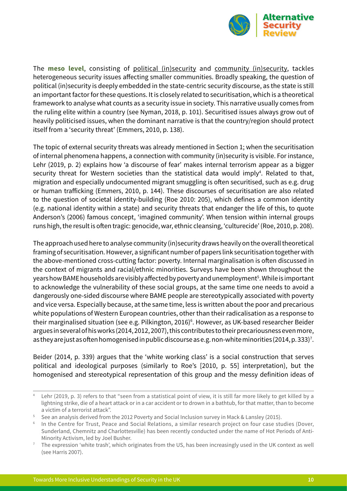

The **meso level**, consisting of political (in)security and community (in)security, tackles heterogeneous security issues affecting smaller communities. Broadly speaking, the question of political (in)security is deeply embedded in the state-centric security discourse, as the state is still an important factor for these questions. It is closely related to securitisation, which is a theoretical framework to analyse what counts as a security issue in society. This narrative usually comes from the ruling elite within a country (see Nyman, 2018, p. 101). Securitised issues always grow out of heavily politicised issues, when the dominant narrative is that the country/region should protect itself from a 'security threat' (Emmers, 2010, p. 138).

The topic of external security threats was already mentioned in Section 1; when the securitisation of internal phenomena happens, a connection with community (in)security is visible. For instance, Lehr (2019, p. 2) explains how 'a discourse of fear' makes internal terrorism appear as a bigger security threat for Western societies than the statistical data would imply<sup>4</sup>. Related to that, migration and especially undocumented migrant smuggling is often securitised, such as e.g. drug or human trafficking (Emmers, 2010, p. 144). These discourses of securitisation are also related to the question of societal identity-building (Roe 2010: 205), which defines a common identity (e.g. national identity within a state) and security threats that endanger the life of this, to quote Anderson's (2006) famous concept, 'imagined community'. When tension within internal groups runs high, the result is often tragic: genocide, war, ethnic cleansing, 'culturecide' (Roe, 2010, p. 208).

The approach used here to analyse community (in)security draws heavily on the overall theoretical framing of securitisation. However, a significant number of papers link securitisation together with the above-mentioned cross-cutting factor: poverty. Internal marginalisation is often discussed in the context of migrants and racial/ethnic minorities. Surveys have been shown throughout the years how BAME households are visibly affected by poverty and unemployment<sup>5</sup>. While is important to acknowledge the vulnerability of these social groups, at the same time one needs to avoid a dangerously one-sided discourse where BAME people are stereotypically associated with poverty and vice versa. Especially because, at the same time, less is written about the poor and precarious white populations of Western European countries, other than their radicalisation as a response to their marginalised situation (see e.g. Pilkington, 2016)<sup>6</sup>. However, as UK-based researcher Beider argues in several of his works (2014, 2012, 2007), this contributes to their precariousness even more, as they are just as often homogenised in public discourse as e.g. non-white minorities (2014, p. 333) $^7$ .

Beider (2014, p. 339) argues that the 'white working class' is a social construction that serves political and ideological purposes (similarly to Roe's [2010, p. 55] interpretation), but the homogenised and stereotypical representation of this group and the messy definition ideas of

Lehr (2019, p. 3) refers to that "seen from a statistical point of view, it is still far more likely to get killed by a lightning strike, die of a heart attack or in a car accident or to drown in a bathtub, for that matter, than to become a victim of a terrorist attack".

<sup>&</sup>lt;sup>5</sup> See an analysis derived from the 2012 Poverty and Social Inclusion survey in Mack & Lansley (2015).

<sup>&</sup>lt;sup>6</sup> In the Centre for Trust, Peace and Social Relations, a similar research project on four case studies (Dover, Sunderland, Chemnitz and Charlottesville) has been recently conducted under the name of Hot Periods of Anti-Minority Activism, led by Joel Busher.

<sup>7</sup> The expression 'white trash', which originates from the US, has been increasingly used in the UK context as well (see Harris 2007).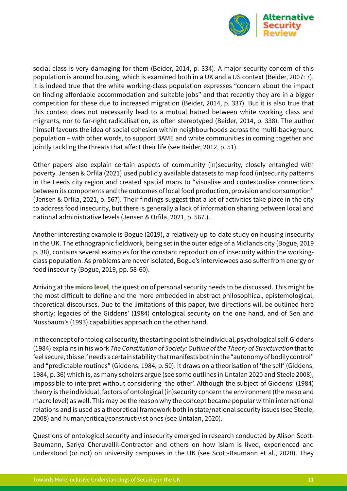

social class is very damaging for them (Beider, 2014, p. 334). A major security concern of this population is around housing, which is examined both in a UK and a US context (Beider, 2007: 7). It is indeed true that the white working-class population expresses "concern about the impact on finding affordable accommodation and suitable jobs" and that recently they are in a bigger competition for these due to increased migration (Beider, 2014, p. 337). But it is also true that this context does not necessarily lead to a mutual hatred between white working class and migrants, nor to far-right radicalisation, as often stereotyped (Beider, 2014, p. 338). The author himself favours the idea of social cohesion within neighbourhoods across the multi-background population – with other words, to support BAME and white communities in coming together and jointly tackling the threats that affect their life (see Beider, 2012, p. 51).

Other papers also explain certain aspects of community (in)security, closely entangled with poverty. Jensen & Orfila (2021) used publicly available datasets to map food (in)security patterns in the Leeds city region and created spatial maps to "visualise and contextualise connections between its components and the outcomes of local food production, provision and consumption" (Jensen & Orfila, 2021, p. 567). Their findings suggest that a lot of activities take place in the city to address food insecurity, but there is generally a lack of information sharing between local and national administrative levels (Jensen & Orfila, 2021, p. 567.).

Another interesting example is Bogue (2019), a relatively up-to-date study on housing insecurity in the UK. The ethnographic fieldwork, being set in the outer edge of a Midlands city (Bogue, 2019 p. 38), contains several examples for the constant reproduction of insecurity within the workingclass population. As problems are never isolated, Bogue's interviewees also suffer from energy or food insecurity (Bogue, 2019, pp. 58-60).

Arriving at the **micro level**, the question of personal security needs to be discussed. This might be the most difficult to define and the more embedded in abstract philosophical, epistemological, theoretical discourses. Due to the limitations of this paper, two directions will be outlined here shortly: legacies of the Giddens' (1984) ontological security on the one hand, and of Sen and Nussbaum's (1993) capabilities approach on the other hand.

In the concept of ontological security, the starting point is the individual, psychological self. Giddens (1984) explains in his work *The Constitution of Society: Outline of the Theory of Structuration* that to feel secure, this self needs a certain stability that manifests both in the "autonomy of bodily control" and "predictable routines" (Giddens, 1984, p. 50). It draws on a theorisation of 'the self' (Giddens, 1984, p. 36) which is, as many scholars argue (see some outlines in Untalan 2020 and Steele 2008), impossible to interpret without considering 'the other'. Although the subject of Giddens' (1984) theory is the individual, factors of ontological (in)security concern the environment (the meso and macro level) as well. This may be the reason why the concept became popular within international relations and is used as a theoretical framework both in state/national security issues (see Steele, 2008) and human/critical/constructivist ones (see Untalan, 2020).

Questions of ontological security and insecurity emerged in research conducted by Alison Scott-Baumann, Sariya Cheruvallil-Contractor and others on how Islam is lived, experienced and understood (or not) on university campuses in the UK (see Scott-Baumann et al., 2020). They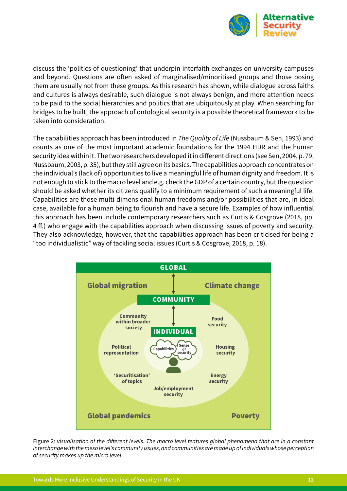

discuss the 'politics of questioning' that underpin interfaith exchanges on university campuses and beyond. Questions are often asked of marginalised/minoritised groups and those posing them are usually not from these groups. As this research has shown, while dialogue across faiths and cultures is always desirable, such dialogue is not always benign, and more attention needs to be paid to the social hierarchies and politics that are ubiquitously at play. When searching for bridges to be built, the approach of ontological security is a possible theoretical framework to be taken into consideration.

The capabilities approach has been introduced in *The Quality of Life* (Nussbaum & Sen, 1993) and counts as one of the most important academic foundations for the 1994 HDR and the human security idea within it. The two researchers developed it in different directions (see Sen, 2004, p. 79, Nussbaum, 2003, p. 35), but they still agree on its basics. The capabilities approach concentrates on the individual's (lack of) opportunities to live a meaningful life of human dignity and freedom. It is not enough to stick to the macro level and e.g. check the GDP of a certain country, but the question should be asked whether its citizens qualify to a minimum requirement of such a meaningful life. Capabilities are those multi-dimensional human freedoms and/or possibilities that are, in ideal case, available for a human being to flourish and have a secure life. Examples of how influential this approach has been include contemporary researchers such as Curtis & Cosgrove (2018, pp. 4 ff.) who engage with the capabilities approach when discussing issues of poverty and security. They also acknowledge, however, that the capabilities approach has been criticised for being a "too individualistic" way of tackling social issues (Curtis & Cosgrove, 2018, p. 18).



Figure 2: *visualisation of the different levels. The macro level features global phenomena that are in a constant interchange with the meso level's community issues, and communities are made up of individuals whose perception of security makes up the micro level.*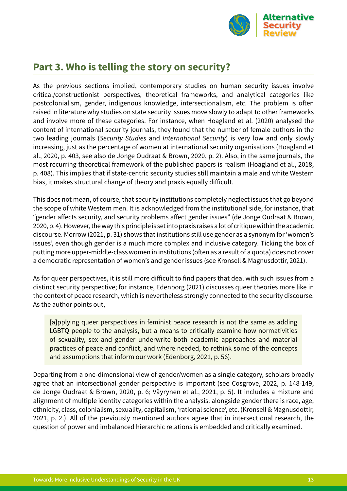

#### <span id="page-13-0"></span>**Part 3. Who is telling the story on security?**

As the previous sections implied, contemporary studies on human security issues involve critical/constructionist perspectives, theoretical frameworks, and analytical categories like postcolonialism, gender, indigenous knowledge, intersectionalism, etc. The problem is often raised in literature why studies on state security issues move slowly to adapt to other frameworks and involve more of these categories. For instance, when Hoagland et al. (2020) analysed the content of international security journals, they found that the number of female authors in the two leading journals (*Security Studies* and *International Security*) is very low and only slowly increasing, just as the percentage of women at international security organisations (Hoagland et al., 2020, p. 403, see also de Jonge Oudraat & Brown, 2020, p. 2). Also, in the same journals, the most recurring theoretical framework of the published papers is realism (Hoagland et al., 2018, p. 408). This implies that if state-centric security studies still maintain a male and white Western bias, it makes structural change of theory and praxis equally difficult.

This does not mean, of course, that security institutions completely neglect issues that go beyond the scope of white Western men. It is acknowledged from the institutional side, for instance, that "gender affects security, and security problems affect gender issues" (de Jonge Oudraat & Brown, 2020, p. 4). However, the way this principle is set into praxis raises a lot of critique within the academic discourse. Morrow (2021, p. 31) shows that institutions still use gender as a synonym for 'women's issues', even though gender is a much more complex and inclusive category. Ticking the box of putting more upper-middle-class women in institutions (often as a result of a quota) does not cover a democratic representation of women's and gender issues (see Kronsell & Magnusdottir, 2021).

As for queer perspectives, it is still more difficult to find papers that deal with such issues from a distinct security perspective; for instance, Edenborg (2021) discusses queer theories more like in the context of peace research, which is nevertheless strongly connected to the security discourse. As the author points out,

[a]pplying queer perspectives in feminist peace research is not the same as adding LGBTQ people to the analysis, but a means to critically examine how normativities of sexuality, sex and gender underwrite both academic approaches and material practices of peace and conflict, and where needed, to rethink some of the concepts and assumptions that inform our work (Edenborg, 2021, p. 56).

Departing from a one-dimensional view of gender/women as a single category, scholars broadly agree that an intersectional gender perspective is important (see Cosgrove, 2022, p. 148-149, de Jonge Oudraat & Brown, 2020, p. 6; Väyrynen et al., 2021, p. 5). It includes a mixture and alignment of multiple identity categories within the analysis: alongside gender there is race, age, ethnicity, class, colonialism, sexuality, capitalism, 'rational science', etc. (Kronsell & Magnusdottir, 2021, p. 2.). All of the previously mentioned authors agree that in intersectional research, the question of power and imbalanced hierarchic relations is embedded and critically examined.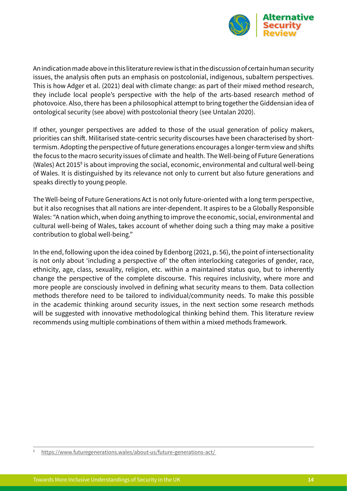

An indication made above in this literature review is that in the discussion of certain human security issues, the analysis often puts an emphasis on postcolonial, indigenous, subaltern perspectives. This is how Adger et al. (2021) deal with climate change: as part of their mixed method research, they include local people's perspective with the help of the arts-based research method of photovoice. Also, there has been a philosophical attempt to bring together the Giddensian idea of ontological security (see above) with postcolonial theory (see Untalan 2020).

If other, younger perspectives are added to those of the usual generation of policy makers, priorities can shift. Militarised state-centric security discourses have been characterised by shorttermism. Adopting the perspective of future generations encourages a longer-term view and shifts the focus to the macro security issues of climate and health. The Well-being of Future Generations (Wales) Act 2015<sup>8</sup> is about improving the social, economic, environmental and cultural well-being of Wales. It is distinguished by its relevance not only to current but also future generations and speaks directly to young people.

The Well-being of Future Generations Act is not only future-oriented with a long term perspective, but it also recognises that all nations are inter-dependent. It aspires to be a Globally Responsible Wales: "A nation which, when doing anything to improve the economic, social, environmental and cultural well-being of Wales, takes account of whether doing such a thing may make a positive contribution to global well-being."

In the end, following upon the idea coined by Edenborg (2021, p. 56), the point of intersectionality is not only about 'including a perspective of' the often interlocking categories of gender, race, ethnicity, age, class, sexuality, religion, etc. within a maintained status quo, but to inherently change the perspective of the complete discourse. This requires inclusivity, where more and more people are consciously involved in defining what security means to them. Data collection methods therefore need to be tailored to individual/community needs. To make this possible in the academic thinking around security issues, in the next section some research methods will be suggested with innovative methodological thinking behind them. This literature review recommends using multiple combinations of them within a mixed methods framework.

<https://www.futuregenerations.wales/about-us/future-generations-act/>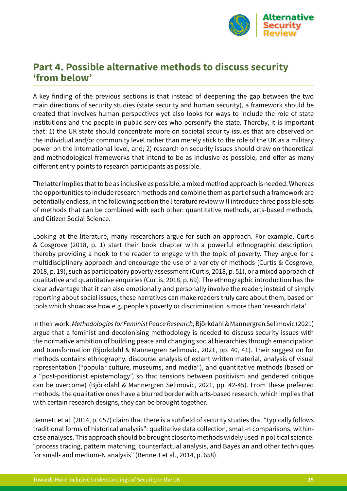

#### <span id="page-15-0"></span>**Part 4. Possible alternative methods to discuss security 'from below'**

A key finding of the previous sections is that instead of deepening the gap between the two main directions of security studies (state security and human security), a framework should be created that involves human perspectives yet also looks for ways to include the role of state institutions and the people in public services who personify the state. Thereby, it is important that: 1) the UK state should concentrate more on societal security issues that are observed on the individual and/or community level rather than merely stick to the role of the UK as a military power on the international level, and; 2) research on security issues should draw on theoretical and methodological frameworks that intend to be as inclusive as possible, and offer as many different entry points to research participants as possible.

The latter implies that to be as inclusive as possible, a mixed method approach is needed. Whereas the opportunities to include research methods and combine them as part of such a framework are potentially endless, in the following section the literature review will introduce three possible sets of methods that can be combined with each other: quantitative methods, arts-based methods, and Citizen Social Science.

Looking at the literature, many researchers argue for such an approach. For example, Curtis & Cosgrove (2018, p. 1) start their book chapter with a powerful ethnographic description, thereby providing a hook to the reader to engage with the topic of poverty. They argue for a multidisciplinary approach and encourage the use of a variety of methods (Curtis & Cosgrove, 2018, p. 19), such as participatory poverty assessment (Curtis, 2018, p. 51), or a mixed approach of qualitative and quantitative enquiries (Curtis, 2018, p. 69). The ethnographic introduction has the clear advantage that it can also emotionally and personally involve the reader; instead of simply reporting about social issues, these narratives can make readers truly care about them, based on tools which showcase how e.g. people's poverty or discrimination is more than 'research data'.

In their work, *Methodologies for Feminist Peace Research*, Björkdahl & Mannergren Selimovic (2021) argue that a feminist and decolonising methodology is needed to discuss security issues with the normative ambition of building peace and changing social hierarchies through emancipation and transformation (Björkdahl & Mannergren Selimovic, 2021, pp. 40, 41). Their suggestion for methods contains ethnography, discourse analysis of extant written material, analysis of visual representation ("popular culture, museums, and media"), and quantitative methods (based on a "post-positionist epistemology", so that tensions between positivism and gendered critique can be overcome) (Björkdahl & Mannergren Selimovic, 2021, pp. 42-45). From these preferred methods, the qualitative ones have a blurred border with arts-based research, which implies that with certain research designs, they can be brought together.

Bennett et al. (2014, p. 657) claim that there is a subfield of security studies that "typically follows traditional forms of historical analysis": qualitative data collection, small-n comparisons, withincase analyses. This approach should be brought closer to methods widely used in political science: "process tracing, pattern matching, counterfactual analysis, and Bayesian and other techniques for small- and medium-N analysis" (Bennett et al., 2014, p. 658).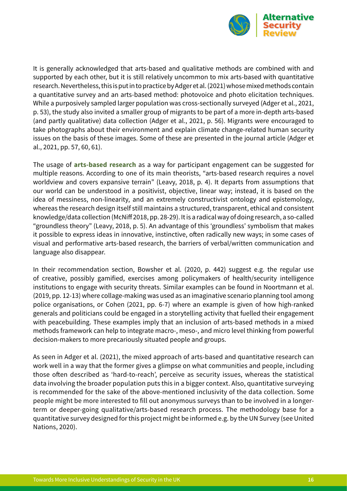

It is generally acknowledged that arts-based and qualitative methods are combined with and supported by each other, but it is still relatively uncommon to mix arts-based with quantitative research. Nevertheless, this is put in to practice by Adger et al. (2021) whose mixed methods contain a quantitative survey and an arts-based method: photovoice and photo elicitation techniques. While a purposively sampled larger population was cross-sectionally surveyed (Adger et al., 2021, p. 53), the study also invited a smaller group of migrants to be part of a more in-depth arts-based (and partly qualitative) data collection (Adger et al., 2021, p. 56). Migrants were encouraged to take photographs about their environment and explain climate change-related human security issues on the basis of these images. Some of these are presented in the journal article (Adger et al., 2021, pp. 57, 60, 61).

The usage of **arts-based research** as a way for participant engagement can be suggested for multiple reasons. According to one of its main theorists, "arts-based research requires a novel worldview and covers expansive terrain" (Leavy, 2018, p. 4). It departs from assumptions that our world can be understood in a positivist, objective, linear way; instead, it is based on the idea of messiness, non-linearity, and an extremely constructivist ontology and epistemology, whereas the research design itself still maintains a structured, transparent, ethical and consistent knowledge/data collection (McNiff 2018, pp. 28-29). It is a radical way of doing research, a so-called "groundless theory" (Leavy, 2018, p. 5). An advantage of this 'groundless' symbolism that makes it possible to express ideas in innovative, instinctive, often radically new ways; in some cases of visual and performative arts-based research, the barriers of verbal/written communication and language also disappear.

In their recommendation section, Bowsher et al. (2020, p. 442) suggest e.g. the regular use of creative, possibly gamified, exercises among policymakers of health/security intelligence institutions to engage with security threats. Similar examples can be found in Noortmann et al. (2019, pp. 12-13) where collage-making was used as an imaginative scenario planning tool among police organisations, or Cohen (2021, pp. 6-7) where an example is given of how high-ranked generals and politicians could be engaged in a storytelling activity that fuelled their engagement with peacebuilding. These examples imply that an inclusion of arts-based methods in a mixed methods framework can help to integrate macro-, meso-, and micro level thinking from powerful decision-makers to more precariously situated people and groups.

As seen in Adger et al. (2021), the mixed approach of arts-based and quantitative research can work well in a way that the former gives a glimpse on what communities and people, including those often described as 'hard-to-reach', perceive as security issues, whereas the statistical data involving the broader population puts this in a bigger context. Also, quantitative surveying is recommended for the sake of the above-mentioned inclusivity of the data collection. Some people might be more interested to fill out anonymous surveys than to be involved in a longerterm or deeper-going qualitative/arts-based research process. The methodology base for a quantitative survey designed for this project might be informed e.g. by the UN Survey (see United Nations, 2020).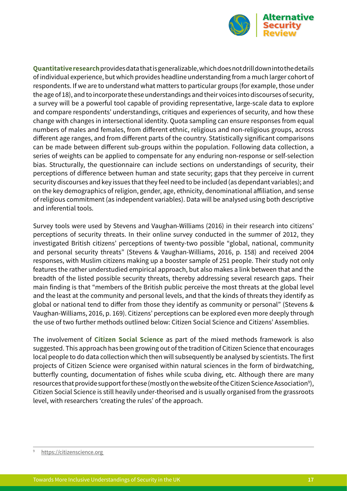

**Quantitative research** provides data that is generalizable, which does not drill down into the details of individual experience, but which provides headline understanding from a much larger cohort of respondents. If we are to understand what matters to particular groups (for example, those under the age of 18), and to incorporate these understandings and their voices into discourses of security, a survey will be a powerful tool capable of providing representative, large-scale data to explore and compare respondents' understandings, critiques and experiences of security, and how these change with changes in intersectional identity. Quota sampling can ensure responses from equal numbers of males and females, from different ethnic, religious and non-religious groups, across different age ranges, and from different parts of the country. Statistically significant comparisons can be made between different sub-groups within the population. Following data collection, a series of weights can be applied to compensate for any enduring non-response or self-selection bias. Structurally, the questionnaire can include sections on understandings of security, their perceptions of difference between human and state security; gaps that they perceive in current security discourses and key issues that they feel need to be included (as dependant variables); and on the key demographics of religion, gender, age, ethnicity, denominational affiliation, and sense of religious commitment (as independent variables). Data will be analysed using both descriptive and inferential tools.

Survey tools were used by Stevens and Vaughan-Williams (2016) in their research into citizens' perceptions of security threats. In their online survey conducted in the summer of 2012, they investigated British citizens' perceptions of twenty-two possible "global, national, community and personal security threats" (Stevens & Vaughan-Williams, 2016, p. 158) and received 2004 responses, with Muslim citizens making up a booster sample of 251 people. Their study not only features the rather understudied empirical approach, but also makes a link between that and the breadth of the listed possible security threats, thereby addressing several research gaps. Their main finding is that "members of the British public perceive the most threats at the global level and the least at the community and personal levels, and that the kinds of threats they identify as global or national tend to differ from those they identify as community or personal" (Stevens & Vaughan-Williams, 2016, p. 169). Citizens' perceptions can be explored even more deeply through the use of two further methods outlined below: Citizen Social Science and Citizens' Assemblies.

The involvement of **Citizen Social Science** as part of the mixed methods framework is also suggested. This approach has been growing out of the tradition of Citizen Science that encourages local people to do data collection which then will subsequently be analysed by scientists. The first projects of Citizen Science were organised within natural sciences in the form of birdwatching, butterfly counting, documentation of fishes while scuba diving, etc. Although there are many resources that provide support for these (mostly on the website of the Citizen Science Association $^{\circ}\!,$ Citizen Social Science is still heavily under-theorised and is usually organised from the grassroots level, with researchers 'creating the rules' of the approach.

https://citizenscience.org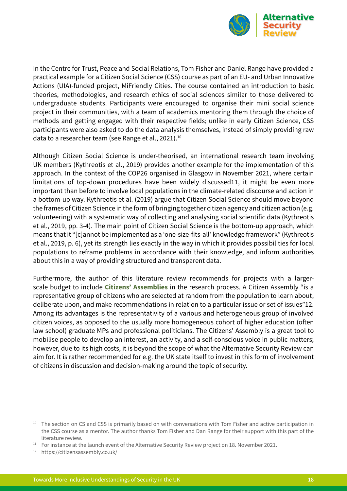

In the Centre for Trust, Peace and Social Relations, Tom Fisher and Daniel Range have provided a practical example for a Citizen Social Science (CSS) course as part of an EU- and Urban Innovative Actions (UIA)-funded project, MiFriendly Cities. The course contained an introduction to basic theories, methodologies, and research ethics of social sciences similar to those delivered to undergraduate students. Participants were encouraged to organise their mini social science project in their communities, with a team of academics mentoring them through the choice of methods and getting engaged with their respective fields; unlike in early Citizen Science, CSS participants were also asked to do the data analysis themselves, instead of simply providing raw data to a researcher team (see Range et al., 2021).<sup>10</sup>

Although Citizen Social Science is under-theorised, an international research team involving UK members (Kythreotis et al., 2019) provides another example for the implementation of this approach. In the context of the COP26 organised in Glasgow in November 2021, where certain limitations of top-down procedures have been widely discussed11, it might be even more important than before to involve local populations in the climate-related discourse and action in a bottom-up way. Kythreotis et al. (2019) argue that Citizen Social Science should move beyond the frames of Citizen Science in the form of bringing together citizen agency and citizen action (e.g. volunteering) with a systematic way of collecting and analysing social scientific data (Kythreotis et al., 2019, pp. 3-4). The main point of Citizen Social Science is the bottom-up approach, which means that it "[c]annot be implemented as a 'one-size-fits-all' knowledge framework" (Kythreotis et al., 2019, p. 6), yet its strength lies exactly in the way in which it provides possibilities for local populations to reframe problems in accordance with their knowledge, and inform authorities about this in a way of providing structured and transparent data.

Furthermore, the author of this literature review recommends for projects with a largerscale budget to include **Citizens' Assemblies** in the research process. A Citizen Assembly "is a representative group of citizens who are selected at random from the population to learn about, deliberate upon, and make recommendations in relation to a particular issue or set of issues"12. Among its advantages is the representativity of a various and heterogeneous group of involved citizen voices, as opposed to the usually more homogeneous cohort of higher education (often law school) graduate MPs and professional politicians. The Citizens' Assembly is a great tool to mobilise people to develop an interest, an activity, and a self-conscious voice in public matters; however, due to its high costs, it is beyond the scope of what the Alternative Security Review can aim for. It is rather recommended for e.g. the UK state itself to invest in this form of involvement of citizens in discussion and decision-making around the topic of security.

<sup>&</sup>lt;sup>10</sup> The section on CS and CSS is primarily based on with conversations with Tom Fisher and active participation in the CSS course as a mentor. The author thanks Tom Fisher and Dan Range for their support with this part of the literature review.

<sup>&</sup>lt;sup>11</sup> For instance at the launch event of the Alternative Security Review project on 18. November 2021.

<https://citizensassembly.co.uk/>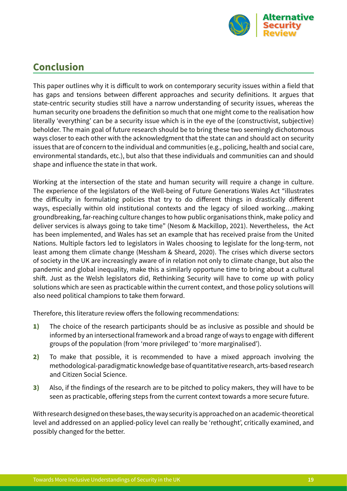

## <span id="page-19-0"></span>**Conclusion**

This paper outlines why it is difficult to work on contemporary security issues within a field that has gaps and tensions between different approaches and security definitions. It argues that state-centric security studies still have a narrow understanding of security issues, whereas the human security one broadens the definition so much that one might come to the realisation how literally 'everything' can be a security issue which is in the eye of the (constructivist, subjective) beholder. The main goal of future research should be to bring these two seemingly dichotomous ways closer to each other with the acknowledgment that the state can and should act on security issues that are of concern to the individual and communities (e.g., policing, health and social care, environmental standards, etc.), but also that these individuals and communities can and should shape and influence the state in that work.

Working at the intersection of the state and human security will require a change in culture. The experience of the legislators of the Well-being of Future Generations Wales Act "illustrates the difficulty in formulating policies that try to do different things in drastically different ways, especially within old institutional contexts and the legacy of siloed working…making groundbreaking, far-reaching culture changes to how public organisations think, make policy and deliver services is always going to take time" (Nesom & Mackillop, 2021). Nevertheless, the Act has been implemented, and Wales has set an example that has received praise from the United Nations. Multiple factors led to legislators in Wales choosing to legislate for the long-term, not least among them climate change (Messham & Sheard, 2020). The crises which diverse sectors of society in the UK are increasingly aware of in relation not only to climate change, but also the pandemic and global inequality, make this a similarly opportune time to bring about a cultural shift. Just as the Welsh legislators did, Rethinking Security will have to come up with policy solutions which are seen as practicable within the current context, and those policy solutions will also need political champions to take them forward.

Therefore, this literature review offers the following recommendations:

- 1) The choice of the research participants should be as inclusive as possible and should be informed by an intersectional framework and a broad range of ways to engage with different groups of the population (from 'more privileged' to 'more marginalised').
- 2) To make that possible, it is recommended to have a mixed approach involving the methodological-paradigmatic knowledge base of quantitative research, arts-based research and Citizen Social Science.
- 3) Also, if the findings of the research are to be pitched to policy makers, they will have to be seen as practicable, offering steps from the current context towards a more secure future.

With research designed on these bases, the way security is approached on an academic-theoretical level and addressed on an applied-policy level can really be 'rethought', critically examined, and possibly changed for the better.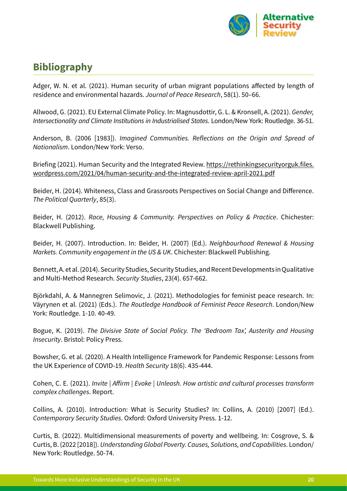

# <span id="page-20-0"></span>**Bibliography**

Adger, W. N. et al. (2021). Human security of urban migrant populations affected by length of residence and environmental hazards. *Journal of Peace Research*, 58(1). 50–66.

Allwood, G. (2021). EU External Climate Policy. In: Magnusdottir, G. L. & Kronsell, A. (2021). *Gender, Intersectionality and Climate Institutions in Industrialised States*. London/New York: Routledge. 36-51.

Anderson, B. (2006 [1983]). *Imagined Communities. Reflections on the Origin and Spread of Nationalism*. London/New York: Verso.

Briefing (2021). Human Security and the Integrated Review. [https://rethinkingsecurityorguk.files.](https://rethinkingsecurityorguk.files.wordpress.com/2021/04/human-security-and-the-integrated-review-april-2021.pdf) [wordpress.com/2021/04/human-security-and-the-integrated-review-april-2021.pdf](https://rethinkingsecurityorguk.files.wordpress.com/2021/04/human-security-and-the-integrated-review-april-2021.pdf)

Beider, H. (2014). Whiteness, Class and Grassroots Perspectives on Social Change and Difference. *The Political Quarterly*, 85(3).

Beider, H. (2012). *Race, Housing & Community. Perspectives on Policy & Practice*. Chichester: Blackwell Publishing.

Beider, H. (2007). Introduction. In: Beider, H. (2007) (Ed.). *Neighbourhood Renewal & Housing Markets. Community engagement in the US & UK*. Chichester: Blackwell Publishing.

Bennett, A. et al. (2014). Security Studies, Security Studies, and Recent Developments in Qualitative and Multi-Method Research. *Security Studies*, 23(4). 657-662.

Björkdahl, A. & Mannegren Selimovic, J. (2021). Methodologies for feminist peace research. In: Väyrynen et al. (2021) (Eds.). *The Routledge Handbook of Feminist Peace Research*. London/New York: Routledge. 1-10. 40-49.

Bogue, K. (2019). *The Divisive State of Social Policy. The 'Bedroom Tax', Austerity and Housing Insecurity*. Bristol: Policy Press.

Bowsher, G. et al. (2020). A Health Intelligence Framework for Pandemic Response: Lessons from the UK Experience of COVID-19. *Health Security* 18(6). 435-444.

Cohen, C. E. (2021). *Invite | Affirm | Evoke | Unleash. How artistic and cultural processes transform complex challenges*. Report.

Collins, A. (2010). Introduction: What is Security Studies? In: Collins, A. (2010) [2007] (Ed.). *Contemporary Security Studies*. Oxford: Oxford University Press. 1-12.

Curtis, B. (2022). Multidimensional measurements of poverty and wellbeing. In: Cosgrove, S. & Curtis, B. (2022 [2018]). *Understanding Global Poverty. Causes, Solutions, and Capabilities*. London/ New York: Routledge. 50-74.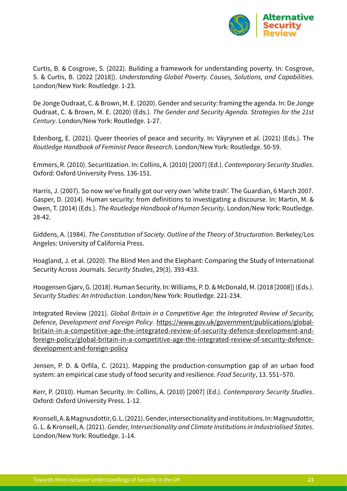

Curtis, B. & Cosgrove, S. (2022). Building a framework for understanding poverty. In: Cosgrove, S. & Curtis, B. (2022 [2018]). *Understanding Global Poverty. Causes, Solutions, and Capabilities*. London/New York: Routledge. 1-23.

De Jonge Oudraat, C. & Brown, M. E. (2020). Gender and security: framing the agenda. In: De Jonge Oudraat, C. & Brown, M. E. (2020) (Eds.). *The Gender and Security Agenda. Strategies for the 21st Century*. London/New York: Routledge. 1-27.

Edenborg, E. (2021). Queer theories of peace and security. In: Väyrynen et al. (2021) (Eds.). The *Routledge Handbook of Feminist Peace Research*. London/New York: Routledge. 50-59.

Emmers, R. (2010). Securitization. In: Collins, A. (2010) [2007] (Ed.). *Contemporary Security Studies*. Oxford: Oxford University Press. 136-151.

Harris, J. (2007). So now we've finally got our very own 'white trash'. The Guardian, 6 March 2007. Gasper, D. (2014). Human security: from definitions to investigating a discourse. In: Martin, M. & Owen, T. (2014) (Eds.). *The Routledge Handbook of Human Security*. London/New York: Routledge. 28-42.

Giddens, A. (1984). *The Constitution of Society. Outline of the Theory of Structuration*. Berkeley/Los Angeles: University of California Press.

Hoagland, J. et al. (2020). The Blind Men and the Elephant: Comparing the Study of International Security Across Journals. *Security Studies*, 29(3). 393-433.

Hoogensen Gjørv, G. (2018). Human Security. In: Williams, P. D. & McDonald, M. (2018 [2008]) (Eds.). *Security Studies: An Introduction*. London/New York: Routledge. 221-234.

Integrated Review (2021). *Global Britain in a Competitive Age: the Integrated Review of Security, Defence, Development and Foreign Policy*. [https://www.gov.uk/government/publications/global](https://www.gov.uk/government/publications/global-britain-in-a-competitive-age-the-integrated-review-of-security-defence-development-and-foreign-policy/global-britain-in-a-competitive-age-the-integrated-review-of-security-defence-development-and-foreign-policy)[britain-in-a-competitive-age-the-integrated-review-of-security-defence-development-and](https://www.gov.uk/government/publications/global-britain-in-a-competitive-age-the-integrated-review-of-security-defence-development-and-foreign-policy/global-britain-in-a-competitive-age-the-integrated-review-of-security-defence-development-and-foreign-policy)[foreign-policy/global-britain-in-a-competitive-age-the-integrated-review-of-security-defence](https://www.gov.uk/government/publications/global-britain-in-a-competitive-age-the-integrated-review-of-security-defence-development-and-foreign-policy/global-britain-in-a-competitive-age-the-integrated-review-of-security-defence-development-and-foreign-policy)[development-and-foreign-policy](https://www.gov.uk/government/publications/global-britain-in-a-competitive-age-the-integrated-review-of-security-defence-development-and-foreign-policy/global-britain-in-a-competitive-age-the-integrated-review-of-security-defence-development-and-foreign-policy)

Jensen, P. D. & Orfila, C. (2021). Mapping the production-consumption gap of an urban food system: an empirical case study of food security and resilience. *Food Security*, 13. 551–570.

Kerr, P. (2010). Human Security. In: Collins, A. (2010) [2007] (Ed.). *Contemporary Security Studies*. Oxford: Oxford University Press. 1-12.

Kronsell, A. & Magnusdottir, G. L. (2021). Gender, intersectionality and institutions. In: Magnusdottir, G. L. & Kronsell, A. (2021). *Gender, Intersectionality and Climate Institutions in Industrialised States*. London/New York: Routledge. 1-14.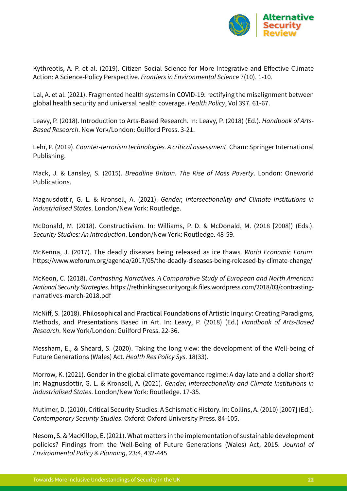

Kythreotis, A. P. et al. (2019). Citizen Social Science for More Integrative and Effective Climate Action: A Science-Policy Perspective. *Frontiers in Environmental Science* 7(10). 1-10.

Lal, A. et al. (2021). Fragmented health systems in COVID-19: rectifying the misalignment between global health security and universal health coverage. *Health Policy*, Vol 397. 61-67.

Leavy, P. (2018). Introduction to Arts-Based Research. In: Leavy, P. (2018) (Ed.). *Handbook of Arts*-*Based Research*. New York/London: Guilford Press. 3-21.

Lehr, P. (2019). *Counter-terrorism technologies. A critical assessment*. Cham: Springer International Publishing.

Mack, J. & Lansley, S. (2015). *Breadline Britain. The Rise of Mass Poverty*. London: Oneworld Publications.

Magnusdottir, G. L. & Kronsell, A. (2021). *Gender, Intersectionality and Climate Institutions in Industrialised States*. London/New York: Routledge.

McDonald, M. (2018). Constructivism. In: Williams, P. D. & McDonald, M. (2018 [2008]) (Eds.). *Security Studies: An Introduction*. London/New York: Routledge. 48-59.

McKenna, J. (2017). The deadly diseases being released as ice thaws. *World Economic Forum*. <https://www.weforum.org/agenda/2017/05/the-deadly-diseases-being-released-by-climate-change/>

McKeon, C. (2018). *Contrasting Narratives. A Comparative Study of European and North American National Security Strategies*. [https://rethinkingsecurityorguk.files.wordpress.com/2018/03/contrasting](https://rethinkingsecurityorguk.files.wordpress.com/2018/03/contrasting-narratives-march-2018.pdf)[narratives-march-2018.pdf](https://rethinkingsecurityorguk.files.wordpress.com/2018/03/contrasting-narratives-march-2018.pdf) 

McNiff, S. (2018). Philosophical and Practical Foundations of Artistic Inquiry: Creating Paradigms, Methods, and Presentations Based in Art. In: Leavy, P. (2018) (Ed.) *Handbook of Arts-Based Research*. New York/London: Guilford Press. 22-36.

Messham, E., & Sheard, S. (2020). Taking the long view: the development of the Well-being of Future Generations (Wales) Act. *Health Res Policy Sys*. 18(33).

Morrow, K. (2021). Gender in the global climate governance regime: A day late and a dollar short? In: Magnusdottir, G. L. & Kronsell, A. (2021). *Gender, Intersectionality and Climate Institutions in Industrialised States*. London/New York: Routledge. 17-35.

Mutimer, D. (2010). Critical Security Studies: A Schismatic History. In: Collins, A. (2010) [2007] (Ed.). *Contemporary Security Studies*. Oxford: Oxford University Press. 84-105.

Nesom, S. & MacKillop, E. (2021). What matters in the implementation of sustainable development policies? Findings from the Well-Being of Future Generations (Wales) Act, 2015. *Journal of Environmental Policy & Planning*, 23:4, 432-445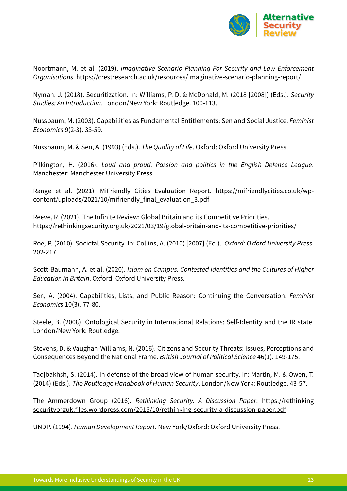

Noortmann, M. et al. (2019). *Imaginative Scenario Planning For Security and Law Enforcement Organisations*. <https://crestresearch.ac.uk/resources/imaginative-scenario-planning-report/>

Nyman, J. (2018). Securitization. In: Williams, P. D. & McDonald, M. (2018 [2008]) (Eds.). *Security Studies: An Introduction*. London/New York: Routledge. 100-113.

Nussbaum, M. (2003). Capabilities as Fundamental Entitlements: Sen and Social Justice. *Feminist Economics* 9(2-3). 33-59.

Nussbaum, M. & Sen, A. (1993) (Eds.). *The Quality of Life*. Oxford: Oxford University Press.

Pilkington, H. (2016). *Loud and proud. Passion and politics in the English Defence League*. Manchester: Manchester University Press.

Range et al. (2021). MiFriendly Cities Evaluation Report. [https://mifriendlycities.co.uk/wp](https://mifriendlycities.co.uk/wp-content/uploads/2021/10/mifriendly_final_evaluation_3.pdf)[content/uploads/2021/10/mifriendly\\_final\\_evaluation\\_3.pdf](https://mifriendlycities.co.uk/wp-content/uploads/2021/10/mifriendly_final_evaluation_3.pdf)

Reeve, R. (2021). The Infinite Review: Global Britain and its Competitive Priorities. <https://rethinkingsecurity.org.uk/2021/03/19/global-britain-and-its-competitive-priorities/>

Roe, P. (2010). Societal Security. In: Collins, A. (2010) [2007] (Ed.). *Oxford: Oxford University Press*. 202-217.

Scott-Baumann, A. et al. (2020). *Islam on Campus. Contested Identities and the Cultures of Higher Education in Britain*. Oxford: Oxford University Press.

Sen, A. (2004). Capabilities, Lists, and Public Reason: Continuing the Conversation. *Feminist Economics* 10(3). 77-80.

Steele, B. (2008). Ontological Security in International Relations: Self-Identity and the IR state. London/New York: Routledge.

Stevens, D. & Vaughan-Williams, N. (2016). Citizens and Security Threats: Issues, Perceptions and Consequences Beyond the National Frame. *British Journal of Political Science* 46(1). 149-175.

Tadjbakhsh, S. (2014). In defense of the broad view of human security. In: Martin, M. & Owen, T. (2014) (Eds.). *The Routledge Handbook of Human Security*. London/New York: Routledge. 43-57.

The Ammerdown Group (2016). *Rethinking Security: A Discussion Paper*. [https://rethinking](https://rethinkingsecurityorguk.files.wordpress.com/2016/10/rethinking-security-a-discussion-paper.pdf) [securityorguk.files.wordpress.com/2016/10/rethinking-security-a-discussion-paper.pdf](https://rethinkingsecurityorguk.files.wordpress.com/2016/10/rethinking-security-a-discussion-paper.pdf)

UNDP. (1994). *Human Development Report*. New York/Oxford: Oxford University Press.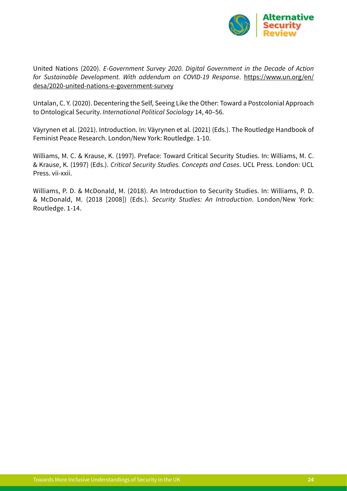

United Nations (2020). *E-Government Survey 2020. Digital Government in the Decade of Action for Sustainable Development. With addendum on COVID-19 Response*. [https://www.un.org/en/](https://www.un.org/en/desa/2020-united-nations-e-government-survey) [desa/2020-united-nations-e-government-survey](https://www.un.org/en/desa/2020-united-nations-e-government-survey)

Untalan, C. Y. (2020). Decentering the Self, Seeing Like the Other: Toward a Postcolonial Approach to Ontological Security. *International Political Sociology* 14, 40–56.

Väyrynen et al. (2021). Introduction. In: Väyrynen et al. (2021) (Eds.). The Routledge Handbook of Feminist Peace Research. London/New York: Routledge. 1-10.

Williams, M. C. & Krause, K. (1997). Preface: Toward Critical Security Studies. In: Williams, M. C. & Krause, K. (1997) (Eds.). *Critical Security Studies. Concepts and Cases*. UCL Press. London: UCL Press. vii-xxii.

Williams, P. D. & McDonald, M. (2018). An Introduction to Security Studies. In: Williams, P. D. & McDonald, M. (2018 [2008]) (Eds.). *Security Studies: An Introduction*. London/New York: Routledge. 1-14.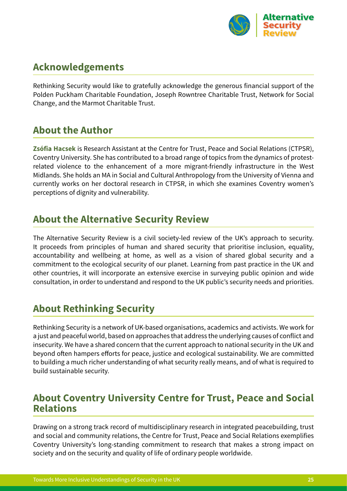

## **Acknowledgements**

Rethinking Security would like to gratefully acknowledge the generous financial support of the Polden Puckham Charitable Foundation, Joseph Rowntree Charitable Trust, Network for Social Change, and the Marmot Charitable Trust.

## **About the Author**

**Zsófia Hacsek** is Research Assistant at the Centre for Trust, Peace and Social Relations (CTPSR), Coventry University. She has contributed to a broad range of topics from the dynamics of protestrelated violence to the enhancement of a more migrant-friendly infrastructure in the West Midlands. She holds an MA in Social and Cultural Anthropology from the University of Vienna and currently works on her doctoral research in CTPSR, in which she examines Coventry women's perceptions of dignity and vulnerability.

#### **About the Alternative Security Review**

The Alternative Security Review is a civil society-led review of the UK's approach to security. It proceeds from principles of human and shared security that prioritise inclusion, equality, accountability and wellbeing at home, as well as a vision of shared global security and a commitment to the ecological security of our planet. Learning from past practice in the UK and other countries, it will incorporate an extensive exercise in surveying public opinion and wide consultation, in order to understand and respond to the UK public's security needs and priorities.

## **About Rethinking Security**

Rethinking Security is a network of UK-based organisations, academics and activists. We work for a just and peaceful world, based on approaches that address the underlying causes of conflict and insecurity. We have a shared concern that the current approach to national security in the UK and beyond often hampers efforts for peace, justice and ecological sustainability. We are committed to building a much richer understanding of what security really means, and of what is required to build sustainable security.

#### **About Coventry University Centre for Trust, Peace and Social Relations**

Drawing on a strong track record of multidisciplinary research in integrated peacebuilding, trust and social and community relations, the Centre for Trust, Peace and Social Relations exemplifies Coventry University's long-standing commitment to research that makes a strong impact on society and on the security and quality of life of ordinary people worldwide.